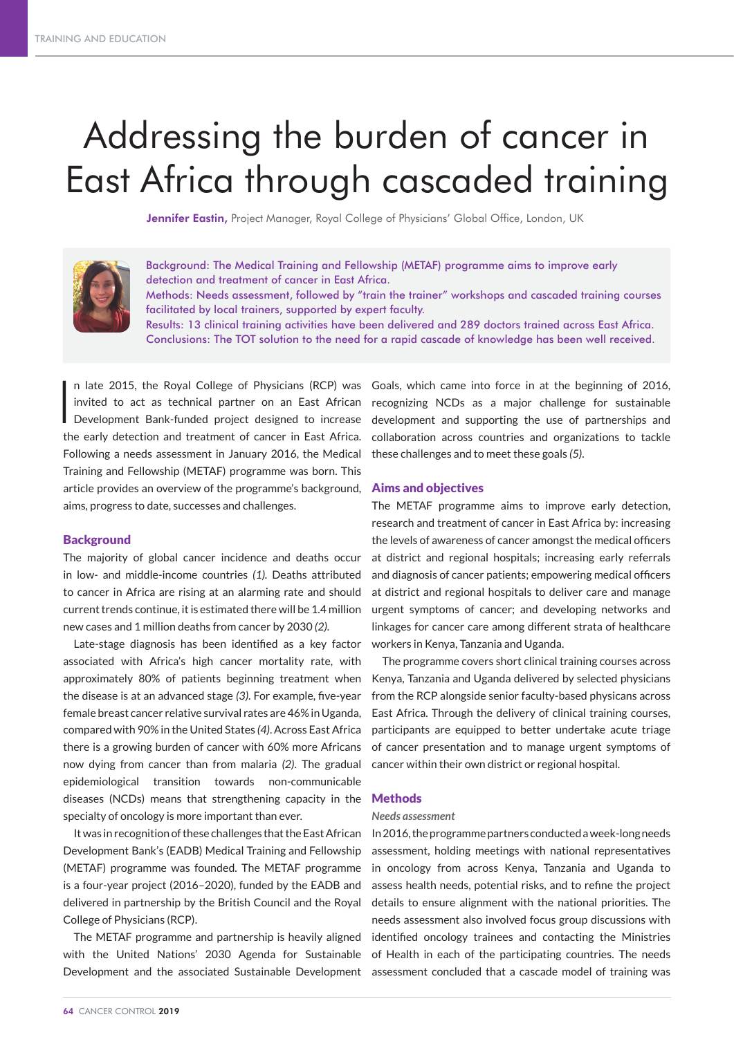# Addressing the burden of cancer in East Africa through cascaded training

Jennifer Eastin, Project Manager, Royal College of Physicians' Global Office, London, UK



Background: The Medical Training and Fellowship (METAF) programme aims to improve early detection and treatment of cancer in East Africa. Methods: Needs assessment, followed by "train the trainer" workshops and cascaded training courses facilitated by local trainers, supported by expert faculty. Results: 13 clinical training activities have been delivered and 289 doctors trained across East Africa. Conclusions: The TOT solution to the need for a rapid cascade of knowledge has been well received.

In late 2015, the Royal College of Physicians (RCP) was<br>invited to act as technical partner on an East African<br>Development Bank-funded project designed to increase n late 2015, the Royal College of Physicians (RCP) was Goals, which came into force in at the beginning of 2016, invited to act as technical partner on an East African the early detection and treatment of cancer in East Africa. Following a needs assessment in January 2016, the Medical Training and Fellowship (METAF) programme was born. This article provides an overview of the programme's background, aims, progress to date, successes and challenges.

# **Background**

The majority of global cancer incidence and deaths occur in low- and middle-income countries *(1).* Deaths attributed to cancer in Africa are rising at an alarming rate and should current trends continue, it is estimated there will be 1.4 million new cases and 1 million deaths from cancer by 2030 *(2).*

Late-stage diagnosis has been identified as a key factor associated with Africa's high cancer mortality rate, with approximately 80% of patients beginning treatment when the disease is at an advanced stage *(3)*. For example, five-year female breast cancer relative survival rates are 46% in Uganda, compared with 90% in the United States *(4)*. Across East Africa there is a growing burden of cancer with 60% more Africans now dying from cancer than from malaria *(2)*. The gradual epidemiological transition towards non-communicable diseases (NCDs) means that strengthening capacity in the specialty of oncology is more important than ever.

It was in recognition of these challenges that the East African Development Bank's (EADB) Medical Training and Fellowship (METAF) programme was founded. The METAF programme is a four-year project (2016–2020), funded by the EADB and delivered in partnership by the British Council and the Royal College of Physicians (RCP).

The METAF programme and partnership is heavily aligned with the United Nations' 2030 Agenda for Sustainable Development and the associated Sustainable Development

recognizing NCDs as a major challenge for sustainable development and supporting the use of partnerships and collaboration across countries and organizations to tackle these challenges and to meet these goals *(5)*.

#### Aims and objectives

The METAF programme aims to improve early detection, research and treatment of cancer in East Africa by: increasing the levels of awareness of cancer amongst the medical officers at district and regional hospitals; increasing early referrals and diagnosis of cancer patients; empowering medical officers at district and regional hospitals to deliver care and manage urgent symptoms of cancer; and developing networks and linkages for cancer care among different strata of healthcare workers in Kenya, Tanzania and Uganda.

The programme covers short clinical training courses across Kenya, Tanzania and Uganda delivered by selected physicians from the RCP alongside senior faculty-based physicans across East Africa. Through the delivery of clinical training courses, participants are equipped to better undertake acute triage of cancer presentation and to manage urgent symptoms of cancer within their own district or regional hospital.

#### Methods

#### *Needs assessment*

In 2016, the programme partners conducted a week-long needs assessment, holding meetings with national representatives in oncology from across Kenya, Tanzania and Uganda to assess health needs, potential risks, and to refine the project details to ensure alignment with the national priorities. The needs assessment also involved focus group discussions with identified oncology trainees and contacting the Ministries of Health in each of the participating countries. The needs assessment concluded that a cascade model of training was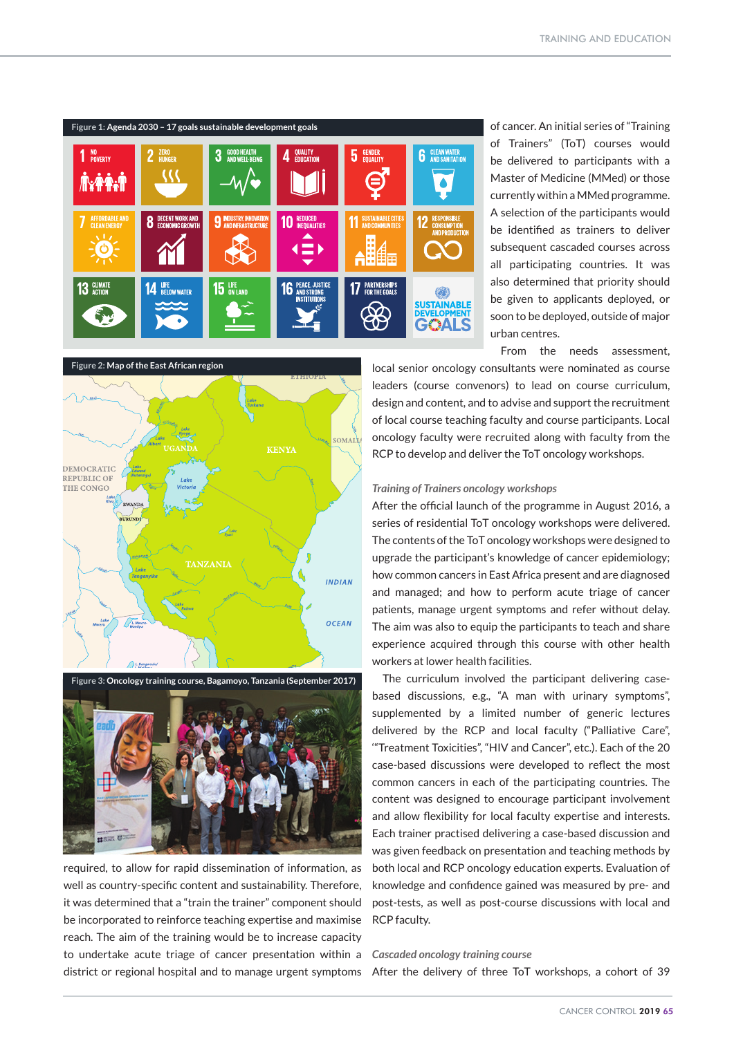

of cancer. An initial series of "Training of Trainers" (ToT) courses would be delivered to participants with a Master of Medicine (MMed) or those currently within a MMed programme. A selection of the participants would be identified as trainers to deliver subsequent cascaded courses across all participating countries. It was also determined that priority should be given to applicants deployed, or soon to be deployed, outside of major urban centres.

From the needs assessment,

local senior oncology consultants were nominated as course leaders (course convenors) to lead on course curriculum, design and content, and to advise and support the recruitment of local course teaching faculty and course participants. Local oncology faculty were recruited along with faculty from the RCP to develop and deliver the ToT oncology workshops.

# $OMA$ **KENYA** DEMOCRATIC REPUBLIC OF THE CONGO INDIAN OCEAN

**Figure 2: Map of the East African region**



required, to allow for rapid dissemination of information, as well as country-specific content and sustainability. Therefore, it was determined that a "train the trainer" component should be incorporated to reinforce teaching expertise and maximise reach. The aim of the training would be to increase capacity to undertake acute triage of cancer presentation within a district or regional hospital and to manage urgent symptoms After the delivery of three ToT workshops, a cohort of 39

### *Training of Trainers oncology workshops*

After the official launch of the programme in August 2016, a series of residential ToT oncology workshops were delivered. The contents of the ToT oncology workshops were designed to upgrade the participant's knowledge of cancer epidemiology; how common cancers in East Africa present and are diagnosed and managed; and how to perform acute triage of cancer patients, manage urgent symptoms and refer without delay. The aim was also to equip the participants to teach and share experience acquired through this course with other health workers at lower health facilities.

The curriculum involved the participant delivering casebased discussions, e.g., "A man with urinary symptoms", supplemented by a limited number of generic lectures delivered by the RCP and local faculty ("Palliative Care", '"Treatment Toxicities", "HIV and Cancer", etc.). Each of the 20 case-based discussions were developed to reflect the most common cancers in each of the participating countries. The content was designed to encourage participant involvement and allow flexibility for local faculty expertise and interests. Each trainer practised delivering a case-based discussion and was given feedback on presentation and teaching methods by both local and RCP oncology education experts. Evaluation of knowledge and confidence gained was measured by pre- and post-tests, as well as post-course discussions with local and RCP faculty.

# *Cascaded oncology training course*

CANCER CONTROL 2019 65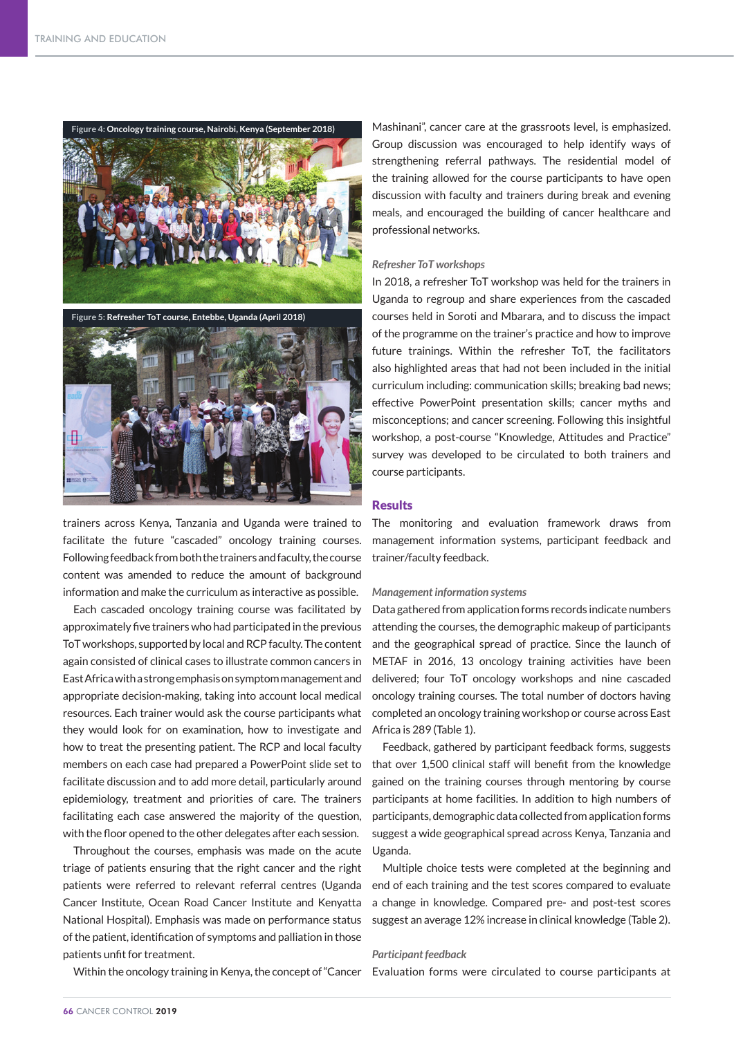

**Figure 5: Refresher ToT course, Entebbe, Uganda (April 2018)**



trainers across Kenya, Tanzania and Uganda were trained to facilitate the future "cascaded" oncology training courses. Following feedback from both the trainers and faculty, the course content was amended to reduce the amount of background information and make the curriculum as interactive as possible.

Each cascaded oncology training course was facilitated by approximately five trainers who had participated in the previous ToT workshops, supported by local and RCP faculty. The content again consisted of clinical cases to illustrate common cancers in East Africa with a strong emphasis on symptom management and appropriate decision-making, taking into account local medical resources. Each trainer would ask the course participants what they would look for on examination, how to investigate and how to treat the presenting patient. The RCP and local faculty members on each case had prepared a PowerPoint slide set to facilitate discussion and to add more detail, particularly around epidemiology, treatment and priorities of care. The trainers facilitating each case answered the majority of the question, with the floor opened to the other delegates after each session.

Throughout the courses, emphasis was made on the acute triage of patients ensuring that the right cancer and the right patients were referred to relevant referral centres (Uganda Cancer Institute, Ocean Road Cancer Institute and Kenyatta National Hospital). Emphasis was made on performance status of the patient, identification of symptoms and palliation in those patients unfit for treatment.

Within the oncology training in Kenya, the concept of "Cancer Evaluation forms were circulated to course participants at

Mashinani", cancer care at the grassroots level, is emphasized. Group discussion was encouraged to help identify ways of strengthening referral pathways. The residential model of the training allowed for the course participants to have open discussion with faculty and trainers during break and evening meals, and encouraged the building of cancer healthcare and professional networks.

#### *Refresher ToT workshops*

In 2018, a refresher ToT workshop was held for the trainers in Uganda to regroup and share experiences from the cascaded courses held in Soroti and Mbarara, and to discuss the impact of the programme on the trainer's practice and how to improve future trainings. Within the refresher ToT, the facilitators also highlighted areas that had not been included in the initial curriculum including: communication skills; breaking bad news; effective PowerPoint presentation skills; cancer myths and misconceptions; and cancer screening. Following this insightful workshop, a post-course "Knowledge, Attitudes and Practice" survey was developed to be circulated to both trainers and course participants.

### **Results**

The monitoring and evaluation framework draws from management information systems, participant feedback and trainer/faculty feedback.

#### *Management information systems*

Data gathered from application forms records indicate numbers attending the courses, the demographic makeup of participants and the geographical spread of practice. Since the launch of METAF in 2016, 13 oncology training activities have been delivered; four ToT oncology workshops and nine cascaded oncology training courses. The total number of doctors having completed an oncology training workshop or course across East Africa is 289 (Table 1).

Feedback, gathered by participant feedback forms, suggests that over 1,500 clinical staff will benefit from the knowledge gained on the training courses through mentoring by course participants at home facilities. In addition to high numbers of participants, demographic data collected from application forms suggest a wide geographical spread across Kenya, Tanzania and Uganda.

Multiple choice tests were completed at the beginning and end of each training and the test scores compared to evaluate a change in knowledge. Compared pre- and post-test scores suggest an average 12% increase in clinical knowledge (Table 2).

# *Participant feedback*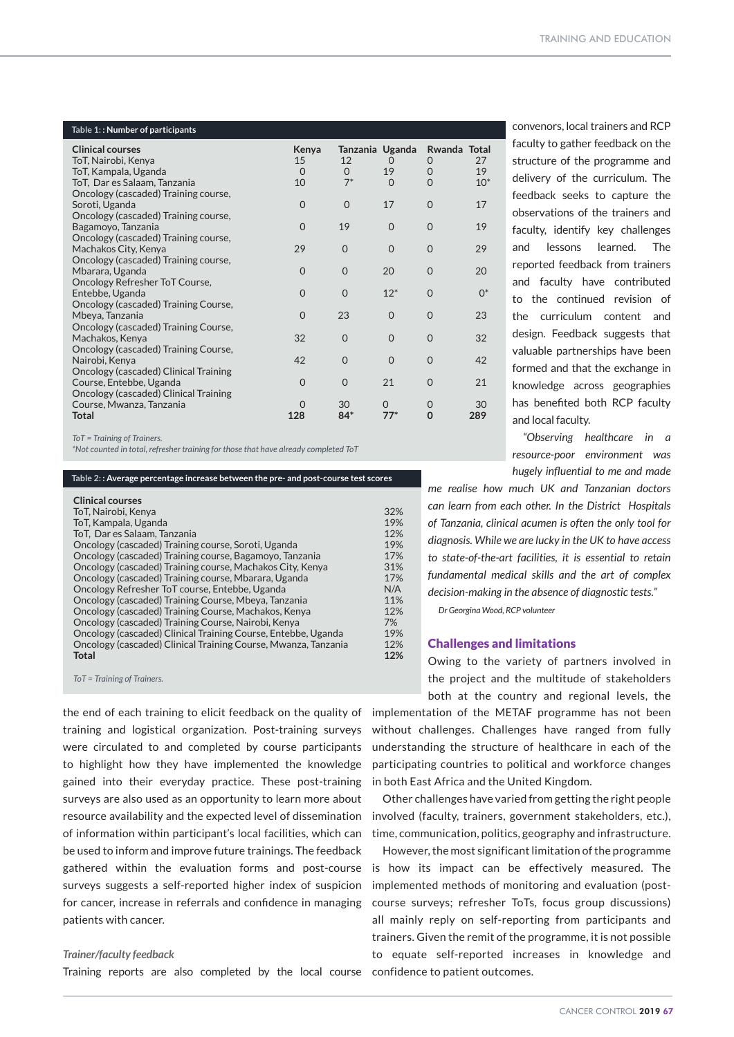| Table 1:: Number of participants               |                |          |                             |                   |       |
|------------------------------------------------|----------------|----------|-----------------------------|-------------------|-------|
| <b>Clinical courses</b><br>ToT, Nairobi, Kenya | Kenya<br>15    | 12       | Tanzania Uganda<br>$\Omega$ | Rwanda Total<br>0 | 27    |
| ToT, Kampala, Uganda                           | $\Omega$       | $\Omega$ | 19                          | $\Omega$          | 19    |
| ToT, Dar es Salaam, Tanzania                   | 10             | $7^*$    | $\Omega$                    | $\Omega$          | $10*$ |
| Oncology (cascaded) Training course,           |                |          |                             |                   |       |
| Soroti, Uganda                                 | $\overline{0}$ | $\Omega$ | 17                          | $\Omega$          | 17    |
| Oncology (cascaded) Training course,           |                |          |                             |                   |       |
| Bagamoyo, Tanzania                             | $\Omega$       | 19       | $\Omega$                    | $\Omega$          | 19    |
| Oncology (cascaded) Training course,           |                |          |                             |                   |       |
| Machakos City, Kenya                           | 29             | $\Omega$ | $\Omega$                    | $\Omega$          | 29    |
| Oncology (cascaded) Training course,           |                |          |                             |                   |       |
| Mbarara, Uganda                                | $\Omega$       | $\Omega$ | 20                          | $\Omega$          | 20    |
| Oncology Refresher ToT Course,                 |                |          |                             |                   |       |
| Entebbe, Uganda                                | $\Omega$       | $\Omega$ | $12*$                       | $\Omega$          | $0^*$ |
| Oncology (cascaded) Training Course,           |                |          |                             |                   |       |
| Mbeya, Tanzania                                | $\Omega$       | 23       | $\Omega$                    | $\Omega$          | 23    |
| Oncology (cascaded) Training Course,           |                |          |                             |                   |       |
| Machakos, Kenya                                | 32             | $\Omega$ | $\Omega$                    | $\Omega$          | 32    |
| Oncology (cascaded) Training Course,           |                |          |                             |                   |       |
| Nairobi, Kenya                                 | 42             | $\Omega$ | $\Omega$                    | $\Omega$          | 42    |
| Oncology (cascaded) Clinical Training          |                |          |                             |                   |       |
| Course, Entebbe, Uganda                        | $\Omega$       | $\Omega$ | 21                          | $\Omega$          | 21    |
| Oncology (cascaded) Clinical Training          |                |          |                             |                   |       |
| Course, Mwanza, Tanzania                       | $\Omega$       | 30       | $\Omega$                    | $\Omega$          | 30    |
| <b>Total</b>                                   | 128            | $84*$    | $77*$                       | $\Omega$          | 289   |
|                                                |                |          |                             |                   |       |

*ToT = Training of Trainers.*

*\*Not counted in total, refresher training for those that have already completed ToT*

| Table 2: : Average percentage increase between the pre- and post-course test scores |     |  |  |  |
|-------------------------------------------------------------------------------------|-----|--|--|--|
| <b>Clinical courses</b>                                                             |     |  |  |  |
| ToT. Nairobi. Kenva                                                                 | 32% |  |  |  |
| To T, Kampala, Uganda                                                               | 19% |  |  |  |
| ToT, Dar es Salaam, Tanzania                                                        | 12% |  |  |  |
| Oncology (cascaded) Training course, Soroti, Uganda                                 | 19% |  |  |  |
| Oncology (cascaded) Training course, Bagamoyo, Tanzania                             | 17% |  |  |  |
| Oncology (cascaded) Training course, Machakos City, Kenya                           | 31% |  |  |  |
| Oncology (cascaded) Training course, Mbarara, Uganda                                | 17% |  |  |  |
| Oncology Refresher ToT course, Entebbe, Uganda                                      | N/A |  |  |  |
| Oncology (cascaded) Training Course, Mbeya, Tanzania                                | 11% |  |  |  |
| Oncology (cascaded) Training Course, Machakos, Kenya                                | 12% |  |  |  |
| Oncology (cascaded) Training Course, Nairobi, Kenya                                 | 7%  |  |  |  |
| Oncology (cascaded) Clinical Training Course, Entebbe, Uganda                       | 19% |  |  |  |
| Oncology (cascaded) Clinical Training Course, Mwanza, Tanzania                      | 12% |  |  |  |
| <b>Total</b>                                                                        | 12% |  |  |  |

*ToT = Training of Trainers.*

the end of each training to elicit feedback on the quality of training and logistical organization. Post-training surveys were circulated to and completed by course participants to highlight how they have implemented the knowledge gained into their everyday practice. These post-training surveys are also used as an opportunity to learn more about resource availability and the expected level of dissemination of information within participant's local facilities, which can be used to inform and improve future trainings. The feedback gathered within the evaluation forms and post-course surveys suggests a self-reported higher index of suspicion for cancer, increase in referrals and confidence in managing patients with cancer.

#### *Trainer/faculty feedback*

Training reports are also completed by the local course confidence to patient outcomes.

convenors, local trainers and RCP faculty to gather feedback on the structure of the programme and delivery of the curriculum. The feedback seeks to capture the observations of the trainers and faculty, identify key challenges and lessons learned. The reported feedback from trainers and faculty have contributed to the continued revision of the curriculum content and design. Feedback suggests that valuable partnerships have been formed and that the exchange in knowledge across geographies has benefited both RCP faculty and local faculty.

*"Observing healthcare in a resource-poor environment was hugely influential to me and made* 

*me realise how much UK and Tanzanian doctors can learn from each other. In the District Hospitals of Tanzania, clinical acumen is often the only tool for diagnosis. While we are lucky in the UK to have access to state-of-the-art facilities, it is essential to retain fundamental medical skills and the art of complex decision-making in the absence of diagnostic tests." Dr Georgina Wood, RCP volunteer*

# Challenges and limitations

Owing to the variety of partners involved in the project and the multitude of stakeholders

both at the country and regional levels, the implementation of the METAF programme has not been without challenges. Challenges have ranged from fully understanding the structure of healthcare in each of the participating countries to political and workforce changes in both East Africa and the United Kingdom.

Other challenges have varied from getting the right people involved (faculty, trainers, government stakeholders, etc.), time, communication, politics, geography and infrastructure.

However, the most significant limitation of the programme is how its impact can be effectively measured. The implemented methods of monitoring and evaluation (postcourse surveys; refresher ToTs, focus group discussions) all mainly reply on self-reporting from participants and trainers. Given the remit of the programme, it is not possible to equate self-reported increases in knowledge and